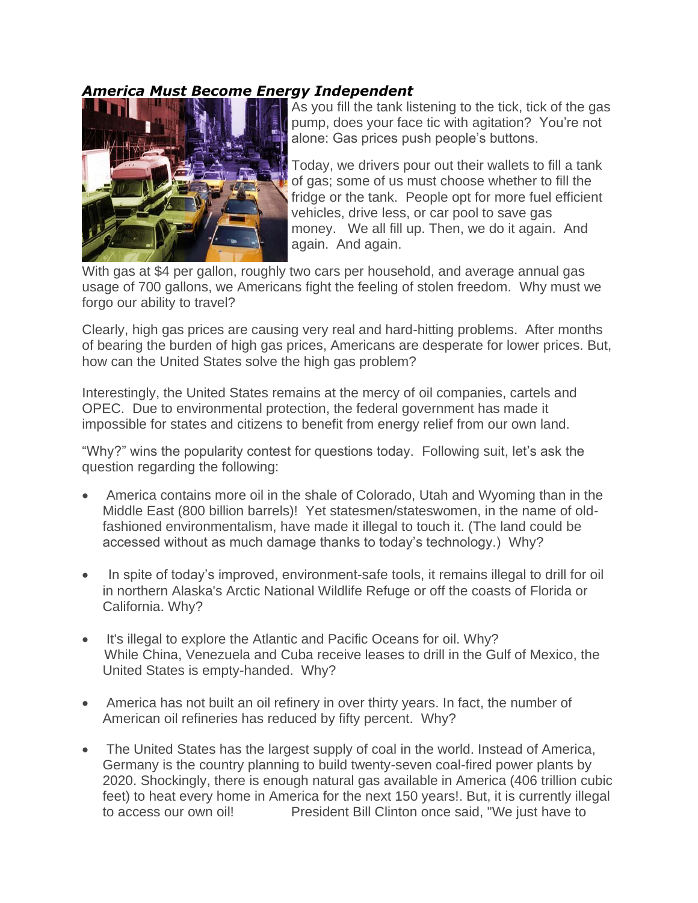## *America Must Become Energy Independent*



As you fill the tank listening to the tick, tick of the gas pump, does your face tic with agitation? You're not alone: Gas prices push people's buttons.

Today, we drivers pour out their wallets to fill a tank of gas; some of us must choose whether to fill the fridge or the tank. People opt for more fuel efficient vehicles, drive less, or car pool to save gas money. We all fill up. Then, we do it again. And again. And again.

With gas at \$4 per gallon, roughly two cars per household, and average annual gas usage of 700 gallons, we Americans fight the feeling of stolen freedom. Why must we forgo our ability to travel?

Clearly, high gas prices are causing very real and hard-hitting problems. After months of bearing the burden of high gas prices, Americans are desperate for lower prices. But, how can the United States solve the high gas problem?

Interestingly, the United States remains at the mercy of oil companies, cartels and OPEC. Due to environmental protection, the federal government has made it impossible for states and citizens to benefit from energy relief from our own land.

"Why?" wins the popularity contest for questions today. Following suit, let's ask the question regarding the following:

- America contains more oil in the shale of Colorado, Utah and Wyoming than in the Middle East (800 billion barrels)! Yet statesmen/stateswomen, in the name of oldfashioned environmentalism, have made it illegal to touch it. (The land could be accessed without as much damage thanks to today's technology.) Why?
- In spite of today's improved, environment-safe tools, it remains illegal to drill for oil in northern Alaska's Arctic National Wildlife Refuge or off the coasts of Florida or California. Why?
- It's illegal to explore the Atlantic and Pacific Oceans for oil. Why? While China, Venezuela and Cuba receive leases to drill in the Gulf of Mexico, the United States is empty-handed. Why?
- America has not built an oil refinery in over thirty years. In fact, the number of American oil refineries has reduced by fifty percent. Why?
- The United States has the largest supply of coal in the world. Instead of America, Germany is the country planning to build twenty-seven coal-fired power plants by 2020. Shockingly, there is enough natural gas available in America (406 trillion cubic feet) to heat every home in America for the next 150 years!. But, it is currently illegal to access our own oil! President Bill Clinton once said, "We just have to